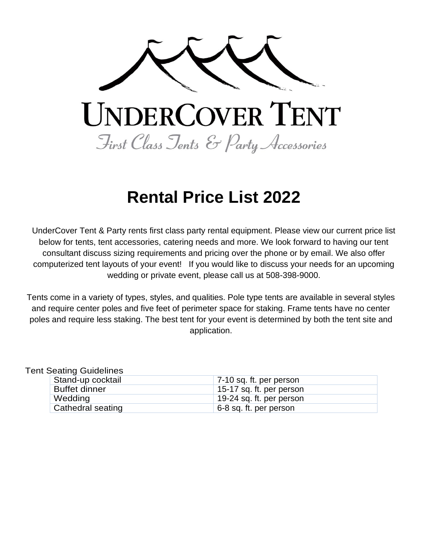

# **Rental Price List 2022**

UnderCover Tent & Party rents first class party rental equipment. Please view our current price list below for tents, tent accessories, catering needs and more. We look forward to having our tent consultant discuss sizing requirements and pricing over the phone or by email. We also offer computerized tent layouts of your event! If you would like to discuss your needs for an upcoming wedding or private event, please call us at 508-398-9000.

Tents come in a variety of types, styles, and qualities. Pole type tents are available in several styles and require center poles and five feet of perimeter space for staking. Frame tents have no center poles and require less staking. The best tent for your event is determined by both the tent site and application.

Tent Seating Guidelines

| Stand-up cocktail    | 7-10 sq. ft. per person  |
|----------------------|--------------------------|
| <b>Buffet dinner</b> | 15-17 sq. ft. per person |
| Wedding              | 19-24 sq. ft. per person |
| Cathedral seating    | 6-8 sq. ft. per person   |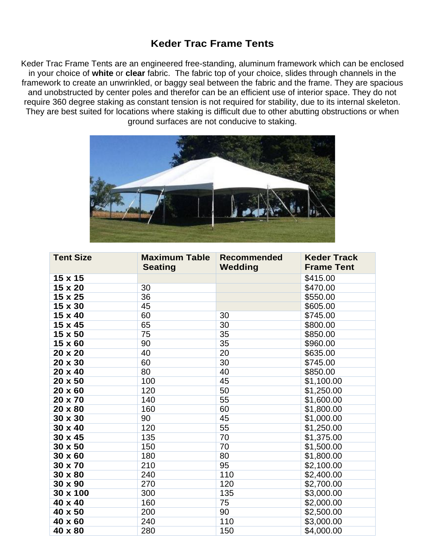# **Keder Trac Frame Tents**

Keder Trac Frame Tents are an engineered free-standing, aluminum framework which can be enclosed in your choice of **white** or **clear** fabric. The fabric top of your choice, slides through channels in the framework to create an unwrinkled, or baggy seal between the fabric and the frame. They are spacious and unobstructed by center poles and therefor can be an efficient use of interior space. They do not require 360 degree staking as constant tension is not required for stability, due to its internal skeleton. They are best suited for locations where staking is difficult due to other abutting obstructions or when ground surfaces are not conducive to staking.



| <b>Tent Size</b> | <b>Maximum Table</b><br><b>Seating</b> | <b>Recommended</b><br>Wedding | <b>Keder Track</b><br><b>Frame Tent</b> |
|------------------|----------------------------------------|-------------------------------|-----------------------------------------|
| 15 x 15          |                                        |                               | \$415.00                                |
| 15 x 20          | 30                                     |                               | \$470.00                                |
| 15 x 25          | 36                                     |                               | \$550.00                                |
| 15 x 30          | 45                                     |                               | \$605.00                                |
| 15 x 40          | 60                                     | 30                            | \$745.00                                |
| 15 x 45          | 65                                     | 30                            | \$800.00                                |
| 15 x 50          | 75                                     | 35                            | \$850.00                                |
| 15 x 60          | 90                                     | 35                            | \$960.00                                |
| 20 x 20          | 40                                     | 20                            | \$635.00                                |
| 20 x 30          | 60                                     | 30                            | \$745.00                                |
| 20 x 40          | 80                                     | 40                            | \$850.00                                |
| 20 x 50          | 100                                    | 45                            | \$1,100.00                              |
| $20 \times 60$   | 120                                    | 50                            | \$1,250.00                              |
| 20 x 70          | 140                                    | 55                            | \$1,600.00                              |
| 20 x 80          | 160                                    | 60                            | \$1,800.00                              |
| 30 x 30          | 90                                     | 45                            | $\overline{$}1,000.00$                  |
| 30 x 40          | 120                                    | 55                            | \$1,250.00                              |
| $30 \times 45$   | 135                                    | 70                            | \$1,375.00                              |
| 30 x 50          | 150                                    | 70                            | \$1,500.00                              |
| $30 \times 60$   | 180                                    | 80                            | \$1,800.00                              |
| 30 x 70          | 210                                    | 95                            | \$2,100.00                              |
| 30 x 80          | 240                                    | 110                           | \$2,400.00                              |
| 30 x 90          | 270                                    | 120                           | \$2,700.00                              |
| 30 x 100         | 300                                    | 135                           | \$3,000.00                              |
| 40 x 40          | 160                                    | 75                            | \$2,000.00                              |
| 40 x 50          | 200                                    | 90                            | \$2,500.00                              |
| 40 x 60          | 240                                    | 110                           | \$3,000.00                              |
| 40 x 80          | 280                                    | 150                           | \$4,000.00                              |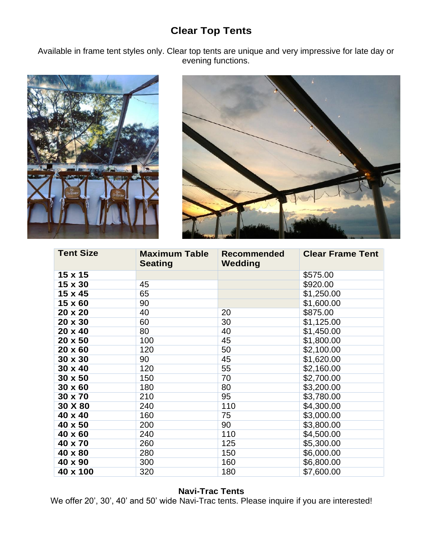# **Clear Top Tents**

Available in frame tent styles only. Clear top tents are unique and very impressive for late day or evening functions.





| <b>Tent Size</b> | <b>Maximum Table</b><br><b>Seating</b> | <b>Recommended</b><br>Wedding | <b>Clear Frame Tent</b> |
|------------------|----------------------------------------|-------------------------------|-------------------------|
| 15 x 15          |                                        |                               | \$575.00                |
| 15 x 30          | 45                                     |                               | \$920.00                |
| 15 x 45          | 65                                     |                               | \$1,250.00              |
| 15 x 60          | 90                                     |                               | \$1,600.00              |
| 20 x 20          | 40                                     | 20                            | \$875.00                |
| 20 x 30          | 60                                     | 30                            | \$1,125.00              |
| 20 x 40          | 80                                     | 40                            | \$1,450.00              |
| 20 x 50          | 100                                    | 45                            | \$1,800.00              |
| 20 x 60          | 120                                    | 50                            | \$2,100.00              |
| 30 x 30          | 90                                     | 45                            | \$1,620.00              |
| $30 \times 40$   | 120                                    | 55                            | \$2,160.00              |
| 30 x 50          | 150                                    | 70                            | \$2,700.00              |
| $30 \times 60$   | 180                                    | 80                            | \$3,200.00              |
| 30 x 70          | 210                                    | 95                            | \$3,780.00              |
| 30 X 80          | 240                                    | 110                           | \$4,300.00              |
| 40 x 40          | 160                                    | 75                            | \$3,000.00              |
| 40 x 50          | 200                                    | 90                            | \$3,800.00              |
| 40 x 60          | 240                                    | 110                           | \$4,500.00              |
| 40 x 70          | 260                                    | 125                           | \$5,300.00              |
| 40 x 80          | 280                                    | 150                           | \$6,000.00              |
| 40 x 90          | 300                                    | 160                           | \$6,800.00              |
| 40 x 100         | 320                                    | 180                           | \$7,600.00              |

### **Navi-Trac Tents**

We offer 20', 30', 40' and 50' wide Navi-Trac tents. Please inquire if you are interested!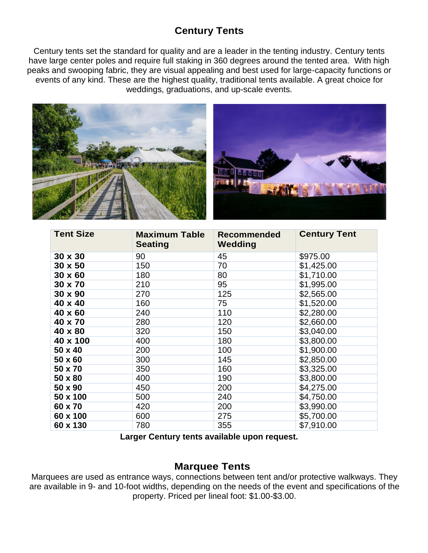# **Century Tents**

Century tents set the standard for quality and are a leader in the tenting industry. Century tents have large center poles and require full staking in 360 degrees around the tented area. With high peaks and swooping fabric, they are visual appealing and best used for large-capacity functions or events of any kind. These are the highest quality, traditional tents available. A great choice for weddings, graduations, and up-scale events.



| <b>Tent Size</b> | <b>Maximum Table</b><br><b>Seating</b> | <b>Recommended</b><br>Wedding | <b>Century Tent</b> |
|------------------|----------------------------------------|-------------------------------|---------------------|
| 30 x 30          | 90                                     | 45                            | \$975.00            |
| $30 \times 50$   | 150                                    | 70                            | \$1,425.00          |
| $30 \times 60$   | 180                                    | 80                            | \$1,710.00          |
| 30 x 70          | 210                                    | 95                            | \$1,995.00          |
| 30 x 90          | 270                                    | 125                           | \$2,565.00          |
| 40 x 40          | 160                                    | 75                            | \$1,520.00          |
| 40 x 60          | 240                                    | 110                           | \$2,280.00          |
| 40 x 70          | 280                                    | 120                           | \$2,660.00          |
| 40 x 80          | 320                                    | 150                           | \$3,040.00          |
| 40 x 100         | 400                                    | 180                           | \$3,800.00          |
| 50 x 40          | 200                                    | 100                           | \$1,900.00          |
| 50 x 60          | 300                                    | 145                           | \$2,850.00          |
| 50 x 70          | 350                                    | 160                           | \$3,325.00          |
| 50 x 80          | 400                                    | 190                           | \$3,800.00          |
| 50 x 90          | 450                                    | 200                           | \$4,275.00          |
| 50 x 100         | 500                                    | 240                           | \$4,750.00          |
| 60 x 70          | 420                                    | 200                           | \$3,990.00          |
| 60 x 100         | 600                                    | 275                           | \$5,700.00          |
| 60 x 130         | 780                                    | 355                           | \$7,910.00          |

**Larger Century tents available upon request.**

### **Marquee Tents**

Marquees are used as entrance ways, connections between tent and/or protective walkways. They are available in 9- and 10-foot widths, depending on the needs of the event and specifications of the property. Priced per lineal foot: \$1.00-\$3.00.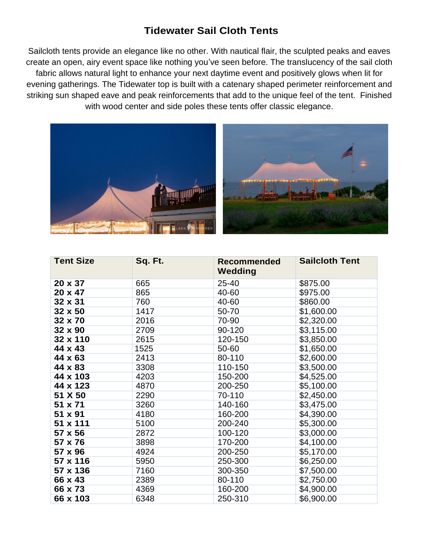# **Tidewater Sail Cloth Tents**

Sailcloth tents provide an elegance like no other. With nautical flair, the sculpted peaks and eaves create an open, airy event space like nothing you've seen before. The translucency of the sail cloth fabric allows natural light to enhance your next daytime event and positively glows when lit for evening gatherings. The Tidewater top is built with a catenary shaped perimeter reinforcement and striking sun shaped eave and peak reinforcements that add to the unique feel of the tent. Finished with wood center and side poles these tents offer classic elegance.



| <b>Tent Size</b> | Sq. Ft. | <b>Recommended</b><br>Wedding | <b>Sailcloth Tent</b>  |
|------------------|---------|-------------------------------|------------------------|
| 20 x 37          | 665     | 25-40                         | \$875.00               |
| 20 x 47          | 865     | 40-60                         | \$975.00               |
| 32 x 31          | 760     | 40-60                         | \$860.00               |
| 32 x 50          | 1417    | 50-70                         | \$1,600.00             |
| 32 x 70          | 2016    | 70-90                         | \$2,320.00             |
| 32 x 90          | 2709    | 90-120                        | $\overline{$3,115.00}$ |
| 32 x 110         | 2615    | 120-150                       | \$3,850.00             |
| 44 x 43          | 1525    | 50-60                         | \$1,650.00             |
| 44 x 63          | 2413    | 80-110                        | \$2,600.00             |
| 44 x 83          | 3308    | 110-150                       | \$3,500.00             |
| 44 x 103         | 4203    | 150-200                       | \$4,525.00             |
| 44 x 123         | 4870    | 200-250                       | \$5,100.00             |
| 51 X 50          | 2290    | 70-110                        | \$2,450.00             |
| 51 x 71          | 3260    | 140-160                       | \$3,475.00             |
| 51 x 91          | 4180    | 160-200                       | \$4,390.00             |
| 51 x 111         | 5100    | 200-240                       | \$5,300.00             |
| 57 x 56          | 2872    | 100-120                       | \$3,000.00             |
| 57 x 76          | 3898    | 170-200                       | \$4,100.00             |
| 57 x 96          | 4924    | 200-250                       | \$5,170.00             |
| 57 x 116         | 5950    | 250-300                       | \$6,250.00             |
| 57 x 136         | 7160    | 300-350                       | \$7,500.00             |
| 66 x 43          | 2389    | 80-110                        | \$2,750.00             |
| 66 x 73          | 4369    | 160-200                       | \$4,900.00             |
| 66 x 103         | 6348    | 250-310                       | \$6,900.00             |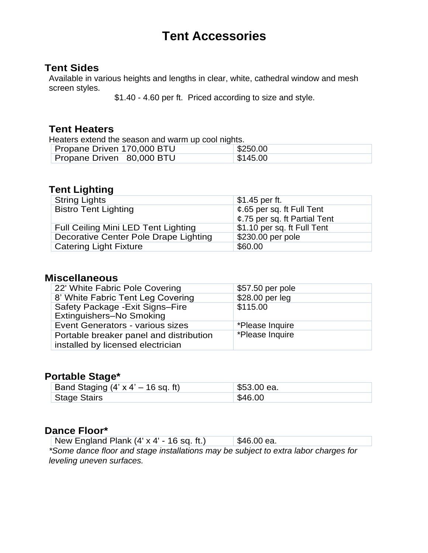# **Tent Accessories**

### **Tent Sides**

Available in various heights and lengths in clear, white, cathedral window and mesh screen styles.

\$1.40 - 4.60 per ft. Priced according to size and style.

### **Tent Heaters**

Heaters extend the season and warm up cool nights.

| Propane Driven 170,000 BTU | \$250.00 |
|----------------------------|----------|
| Propane Driven 80,000 BTU  | \$145.00 |

# **Tent Lighting**

| <b>String Lights</b>                  | $$1.45$ per ft.              |
|---------------------------------------|------------------------------|
| <b>Bistro Tent Lighting</b>           | ¢.65 per sq. ft Full Tent    |
|                                       | ¢.75 per sq. ft Partial Tent |
| Full Ceiling Mini LED Tent Lighting   | \$1.10 per sq. ft Full Tent  |
| Decorative Center Pole Drape Lighting | \$230.00 per pole            |
| <b>Catering Light Fixture</b>         | \$60.00                      |

### **Miscellaneous**

| 22' White Fabric Pole Covering                                               | \$57.50 per pole |
|------------------------------------------------------------------------------|------------------|
| 8' White Fabric Tent Leg Covering                                            | \$28.00 per leg  |
| Safety Package - Exit Signs-Fire<br>Extinguishers-No Smoking                 | \$115.00         |
| Event Generators - various sizes                                             | *Please Inquire  |
| Portable breaker panel and distribution<br>installed by licensed electrician | *Please Inquire  |

#### **Portable Stage\***

| Band Staging $(4' \times 4' - 16 \text{ sq. ft})$ | $\frac{1}{2}$ \$53.00 ea. |
|---------------------------------------------------|---------------------------|
| <sup>1</sup> Stage Stairs                         | \$46.00                   |

#### **Dance Floor\***

|  | New England Plank (4' x 4' - 16 sq. ft.) | $\frac{1}{2}$ \$46.00 ea. |
|--|------------------------------------------|---------------------------|
|--|------------------------------------------|---------------------------|

*\*Some dance floor and stage installations may be subject to extra labor charges for leveling uneven surfaces.*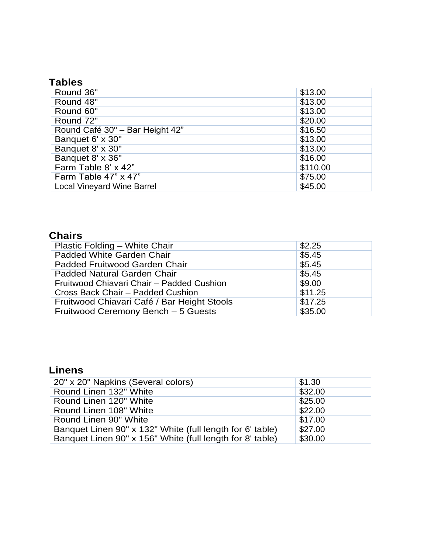# **Tables**

| Round 36"                         | \$13.00  |
|-----------------------------------|----------|
| Round 48"                         | \$13.00  |
| Round 60"                         | \$13.00  |
| Round 72"                         | \$20.00  |
| Round Café 30" - Bar Height 42"   | \$16.50  |
| Banquet 6' x 30"                  | \$13.00  |
| Banquet 8' x 30"                  | \$13.00  |
| Banquet 8' x 36"                  | \$16.00  |
| Farm Table 8' x 42"               | \$110.00 |
| Farm Table 47" x 47"              | \$75.00  |
| <b>Local Vineyard Wine Barrel</b> | \$45.00  |

# **Chairs**

| Plastic Folding - White Chair               | \$2.25  |
|---------------------------------------------|---------|
| Padded White Garden Chair                   | \$5.45  |
| Padded Fruitwood Garden Chair               | \$5.45  |
| Padded Natural Garden Chair                 | \$5.45  |
| Fruitwood Chiavari Chair - Padded Cushion   | \$9.00  |
| Cross Back Chair - Padded Cushion           | \$11.25 |
| Fruitwood Chiavari Café / Bar Height Stools | \$17.25 |
| Fruitwood Ceremony Bench - 5 Guests         | \$35.00 |

# **Linens**

| 20" x 20" Napkins (Several colors)                        | \$1.30  |
|-----------------------------------------------------------|---------|
| Round Linen 132" White                                    | \$32.00 |
| Round Linen 120" White                                    | \$25.00 |
| Round Linen 108" White                                    | \$22.00 |
| Round Linen 90" White                                     | \$17.00 |
| Banquet Linen 90" x 132" White (full length for 6' table) | \$27.00 |
| Banquet Linen 90" x 156" White (full length for 8' table) | \$30.00 |